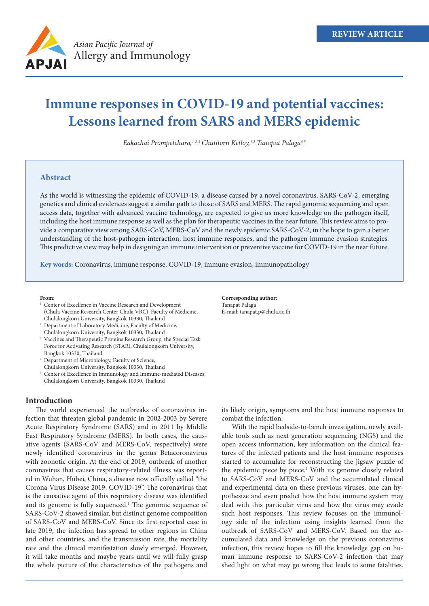

# **Immune responses in COVID-19 and potential vaccines: Lessons learned from SARS and MERS epidemic**

*Eakachai Prompetchara,1,2,3 Chutitorn Ketloy,1,2 Tanapat Palaga4,5*

# **Abstract**

As the world is witnessing the epidemic of COVID-19, a disease caused by a novel coronavirus, SARS-CoV-2, emerging genetics and clinical evidences suggest a similar path to those of SARS and MERS. The rapid genomic sequencing and open access data, together with advanced vaccine technology, are expected to give us more knowledge on the pathogen itself, including the host immune response as well as the plan for therapeutic vaccines in the near future. This review aims to provide a comparative view among SARS-CoV, MERS-CoV and the newly epidemic SARS-CoV-2, in the hope to gain a better understanding of the host-pathogen interaction, host immune responses, and the pathogen immune evasion strategies. This predictive view may help in designing an immune intervention or preventive vaccine for COVID-19 in the near future.

**Key words:** Coronavirus, immune response, COVID-19, immune evasion, immunopathology

#### **From:**

- <sup>1</sup> Center of Excellence in Vaccine Research and Development (Chula Vaccine Research Center Chula VRC), Faculty of Medicine, Chulalongkorn University, Bangkok 10330, Thailand
- <sup>2</sup> Department of Laboratory Medicine, Faculty of Medicine,
- Chulalongkorn University, Bangkok 10330, Thailand Vaccines and Therapeutic Proteins Research Group, the Special Task
- Force for Activating Research (STAR), Chulalongkorn University, Bangkok 10330, Thailand
- <sup>4</sup> Department of Microbiology, Faculty of Science,
- Chulalongkorn University, Bangkok 10330, Thailand <sup>5</sup> Center of Excellence in Immunology and Immune-mediated Diseases, Chulalongkorn University, Bangkok 10330, Thailand
- **Introduction**

The world experienced the outbreaks of coronavirus infection that threaten global pandemic in 2002-2003 by Severe Acute Respiratory Syndrome (SARS) and in 2011 by Middle East Respiratory Syndrome (MERS). In both cases, the causative agents (SARS-CoV and MERS-CoV, respectively) were newly identified coronavirus in the genus Betacoronavirus with zoonotic origin. At the end of 2019, outbreak of another coronavirus that causes respiratory-related illness was reported in Wuhan, Hubei, China, a disease now officially called "the Corona Virus Disease 2019; COVID-19". The coronavirus that is the causative agent of this respiratory disease was identified and its genome is fully sequenced.<sup>1</sup> The genomic sequence of SARS-CoV-2 showed similar, but distinct genome composition of SARS-CoV and MERS-CoV. Since its first reported case in late 2019, the infection has spread to other regions in China and other countries, and the transmission rate, the mortality rate and the clinical manifestation slowly emerged. However, it will take months and maybe years until we will fully grasp the whole picture of the characteristics of the pathogens and

**Corresponding author:** Tanapat Palaga E-mail: tanapat.p@chula.ac.th

its likely origin, symptoms and the host immune responses to combat the infection.

With the rapid bedside-to-bench investigation, newly available tools such as next generation sequencing (NGS) and the open access information, key information on the clinical features of the infected patients and the host immune responses started to accumulate for reconstructing the jigsaw puzzle of the epidemic piece by piece.<sup>2</sup> With its genome closely related to SARS-CoV and MERS-CoV and the accumulated clinical and experimental data on these previous viruses, one can hypothesize and even predict how the host immune system may deal with this particular virus and how the virus may evade such host responses. This review focuses on the immunology side of the infection using insights learned from the outbreak of SARS-CoV and MERS-CoV. Based on the accumulated data and knowledge on the previous coronavirus infection, this review hopes to fill the knowledge gap on human immune response to SARS-CoV-2 infection that may shed light on what may go wrong that leads to some fatalities.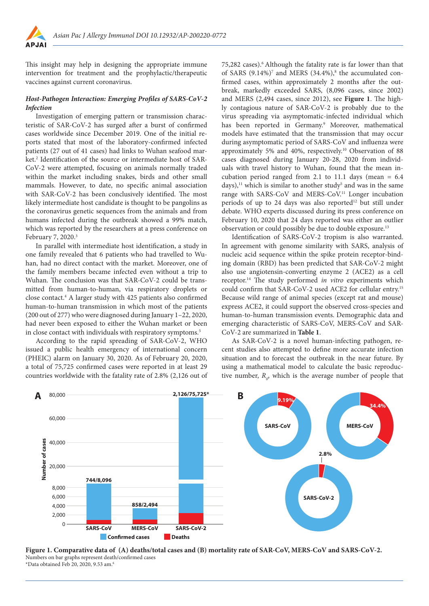

This insight may help in designing the appropriate immune intervention for treatment and the prophylactic/therapeutic vaccines against current coronavirus.

## *Host-Pathogen Interaction: Emerging Profiles of SARS-CoV-2 Infection*

Investigation of emerging pattern or transmission characteristic of SAR-CoV-2 has surged after a burst of confirmed cases worldwide since December 2019. One of the initial reports stated that most of the laboratory-confirmed infected patients (27 out of 41 cases) had links to Wuhan seafood market.<sup>2</sup> Identification of the source or intermediate host of SAR-CoV-2 were attempted, focusing on animals normally traded within the market including snakes, birds and other small mammals. However, to date, no specific animal association with SAR-CoV-2 has been conclusively identified. The most likely intermediate host candidate is thought to be pangolins as the coronavirus genetic sequences from the animals and from humans infected during the outbreak showed a 99% match, which was reported by the researchers at a press conference on February 7, 2020.<sup>3</sup>

In parallel with intermediate host identification, a study in one family revealed that 6 patients who had travelled to Wuhan, had no direct contact with the market. Moreover, one of the family members became infected even without a trip to Wuhan. The conclusion was that SAR-CoV-2 could be transmitted from human-to-human, via respiratory droplets or close contact.4 A larger study with 425 patients also confirmed human-to-human transmission in which most of the patients (200 out of 277) who were diagnosed during January 1–22, 2020, had never been exposed to either the Wuhan market or been in close contact with individuals with respiratory symptoms.<sup>5</sup>

According to the rapid spreading of SAR-CoV-2, WHO issued a public health emergency of international concern (PHEIC) alarm on January 30, 2020. As of February 20, 2020, a total of 75,725 confirmed cases were reported in at least 29 countries worldwide with the fatality rate of 2.8% (2,126 out of 75,282 cases).6 Although the fatality rate is far lower than that of SARS  $(9.14\%)$ <sup>7</sup> and MERS  $(34.4\%)$ <sup>8</sup> the accumulated confirmed cases, within approximately 2 months after the outbreak, markedly exceeded SARS, (8,096 cases, since 2002) and MERS (2,494 cases, since 2012), see **Figure 1**. The highly contagious nature of SAR-CoV-2 is probably due to the virus spreading via asymptomatic-infected individual which has been reported in Germany.<sup>9</sup> Moreover, mathematical models have estimated that the transmission that may occur during asymptomatic period of SARS-CoV and influenza were approximately 5% and 40%, respectively.10 Observation of 88 cases diagnosed during January 20-28, 2020 from individuals with travel history to Wuhan, found that the mean incubation period ranged from 2.1 to 11.1 days (mean  $= 6.4$ days),<sup>11</sup> which is similar to another study<sup>5</sup> and was in the same range with SARS-CoV and MERS-CoV.<sup>11</sup> Longer incubation periods of up to 24 days was also reported<sup>12</sup> but still under debate. WHO experts discussed during its press conference on February 10, 2020 that 24 days reported was either an outlier observation or could possibly be due to double exposure.13

Identification of SARS-CoV-2 tropism is also warranted. In agreement with genome similarity with SARS, analysis of nucleic acid sequence within the spike protein receptor-binding domain (RBD) has been predicted that SAR-CoV-2 might also use angiotensin-converting enzyme 2 (ACE2) as a cell receptor.14 The study performed *in vitro* experiments which could confirm that SAR-CoV-2 used ACE2 for cellular entry.15 Because wild range of animal species (except rat and mouse) express ACE2, it could support the observed cross-species and human-to-human transmission events. Demographic data and emerging characteristic of SARS-CoV, MERS-CoV and SAR-CoV-2 are summarized in **Table 1**.

As SAR-CoV-2 is a novel human-infecting pathogen, recent studies also attempted to define more accurate infection situation and to forecast the outbreak in the near future. By using a mathematical model to calculate the basic reproductive number,  $R_{\rho}$ , which is the average number of people that



**Figure 1. Comparative data of (A) deaths/total cases and (B) mortality rate of SAR-CoV, MERS-CoV and SARS-CoV-2.** Numbers on bar graphs represent death/confirmed cases \*Data obtained Feb 20, 2020, 9.53 am.<sup>6</sup>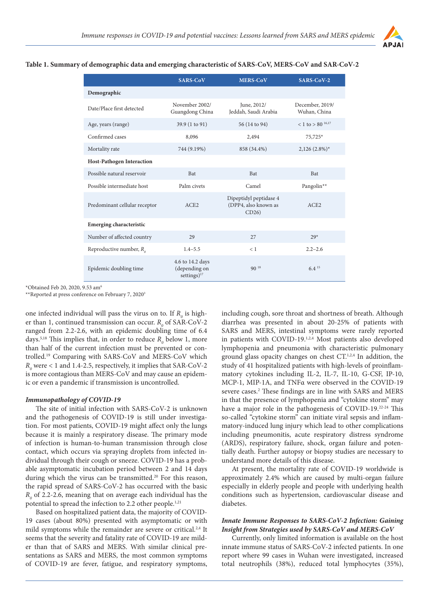

# **Table 1. Summary of demographic data and emerging characteristic of SARS-CoV, MERS-CoV and SAR-CoV-2**

|                                  | <b>SARS-CoV</b>                                     | <b>MERS-CoV</b>                                        | <b>SARS-CoV-2</b>               |
|----------------------------------|-----------------------------------------------------|--------------------------------------------------------|---------------------------------|
| Demographic                      |                                                     |                                                        |                                 |
| Date/Place first detected        | November 2002/<br>Guangdong China                   | June, 2012/<br>Jeddah, Saudi Arabia                    | December, 2019/<br>Wuhan, China |
| Age, years (range)               | 39.9 (1 to 91)                                      | 56 (14 to 94)                                          | < 1 to > 80 $^{16,17}$          |
| Confirmed cases                  | 8,096                                               | 2,494                                                  | 75,725*                         |
| Mortality rate                   | 744 (9.19%)                                         | 858 (34.4%)                                            | $2,126(2.8\%)*$                 |
| <b>Host-Pathogen Interaction</b> |                                                     |                                                        |                                 |
| Possible natural reservoir       | <b>Bat</b>                                          | <b>Bat</b>                                             | <b>Bat</b>                      |
| Possible intermediate host       | Palm civets                                         | Camel                                                  | Pangolin**                      |
| Predominant cellular receptor    | ACE2                                                | Dipeptidyl peptidase 4<br>(DPP4, also known as<br>CD26 | ACE2                            |
| <b>Emerging characteristic</b>   |                                                     |                                                        |                                 |
| Number of affected country       | 29                                                  | 27                                                     | $2.9*$                          |
| Reproductive number, $R_{o}$     | $1.4 - 5.5$                                         | < 1                                                    | $2.2 - 2.6$                     |
| Epidemic doubling time           | 4.6 to 14.2 days<br>(depending on<br>settings) $17$ | $90^{18}$                                              | $6.4^{15}$                      |

\*Obtained Feb 20, 2020, 9.53 am6

\*\*Reported at press conference on February 7, 20203

one infected individual will pass the virus on to. If  $R_{\text{o}}$  is higher than 1, continued transmission can occur.  $R_{0}$  of SAR-CoV-2 ranged from 2.2-2.6, with an epidemic doubling time of 6.4 days.<sup>5,18</sup> This implies that, in order to reduce  $R_{0}$  below 1, more than half of the current infection must be prevented or controlled.19 Comparing with SARS-CoV and MERS-CoV which  $R_o$  were < 1 and 1.4-2.5, respectively, it implies that SAR-CoV-2 is more contagious than MERS-CoV and may cause an epidemic or even a pandemic if transmission is uncontrolled.

## *Immunopathology of COVID-19*

The site of initial infection with SARS-CoV-2 is unknown and the pathogenesis of COVID-19 is still under investigation. For most patients, COVID-19 might affect only the lungs because it is mainly a respiratory disease. The primary mode of infection is human-to-human transmission through close contact, which occurs via spraying droplets from infected individual through their cough or sneeze. COVID-19 has a probable asymptomatic incubation period between 2 and 14 days during which the virus can be transmitted.<sup>20</sup> For this reason, the rapid spread of SARS-CoV-2 has occurred with the basic  $R_{0}$  of 2.2-2.6, meaning that on average each individual has the potential to spread the infection to 2.2 other people.<sup>1,21</sup>

Based on hospitalized patient data, the majority of COVID-19 cases (about 80%) presented with asymptomatic or with mild symptoms while the remainder are severe or critical.<sup>2,4</sup> It seems that the severity and fatality rate of COVID-19 are milder than that of SARS and MERS. With similar clinical presentations as SARS and MERS, the most common symptoms of COVID-19 are fever, fatigue, and respiratory symptoms, including cough, sore throat and shortness of breath. Although diarrhea was presented in about 20-25% of patients with SARS and MERS, intestinal symptoms were rarely reported in patients with COVID-19.<sup>1,2,4</sup> Most patients also developed lymphopenia and pneumonia with characteristic pulmonary ground glass opacity changes on chest CT.1,2,4 In addition, the study of 41 hospitalized patients with high-levels of proinflammatory cytokines including IL-2, IL-7, IL-10, G-CSF, IP-10, MCP-1, MIP-1A, and TNFα were observed in the COVID-19 severe cases.<sup>2</sup> These findings are in line with SARS and MERS in that the presence of lymphopenia and "cytokine storm" may have a major role in the pathogenesis of COVID-19.22-24 This so-called "cytokine storm" can initiate viral sepsis and inflammatory-induced lung injury which lead to other complications including pneumonitis, acute respiratory distress syndrome (ARDS), respiratory failure, shock, organ failure and potentially death. Further autopsy or biopsy studies are necessary to understand more details of this disease.

At present, the mortality rate of COVID-19 worldwide is approximately 2.4% which are caused by multi-organ failure especially in elderly people and people with underlying health conditions such as hypertension, cardiovascular disease and diabetes.

# *Innate Immune Responses to SARS-CoV-2 Infection: Gaining Insight from Strategies used by SARS-CoV and MERS-CoV*

Currently, only limited information is available on the host innate immune status of SARS-CoV-2 infected patients. In one report where 99 cases in Wuhan were investigated, increased total neutrophils (38%), reduced total lymphocytes (35%),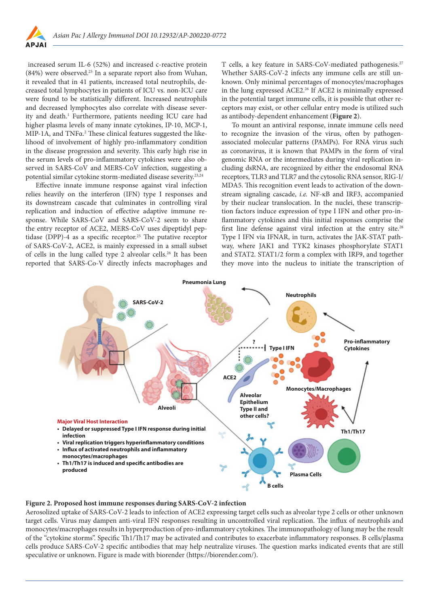

 increased serum IL-6 (52%) and increased c-reactive protein (84%) were observed.25 In a separate report also from Wuhan, it revealed that in 41 patients, increased total neutrophils, decreased total lymphocytes in patients of ICU vs. non-ICU care were found to be statistically different. Increased neutrophils and decreased lymphocytes also correlate with disease severity and death.<sup>1</sup> Furthermore, patients needing ICU care had higher plasma levels of many innate cytokines, IP-10, MCP-1, MIP-1A, and TNFα.<sup>2</sup> These clinical features suggested the likelihood of involvement of highly pro-inflammatory condition in the disease progression and severity. This early high rise in the serum levels of pro-inflammatory cytokines were also observed in SARS-CoV and MERS-CoV infection, suggesting a potential similar cytokine storm-mediated disease severity.23,24

Effective innate immune response against viral infection relies heavily on the interferon (IFN) type I responses and its downstream cascade that culminates in controlling viral replication and induction of effective adaptive immune response. While SARS-CoV and SARS-CoV-2 seem to share the entry receptor of ACE2, MERS-CoV uses dipeptidyl peptidase (DPP)-4 as a specific receptor.<sup>25</sup> The putative receptor of SARS-CoV-2, ACE2, is mainly expressed in a small subset of cells in the lung called type 2 alveolar cells.26 It has been reported that SARS-Co-V directly infects macrophages and

T cells, a key feature in SARS-CoV-mediated pathogenesis.<sup>27</sup> Whether SARS-CoV-2 infects any immune cells are still unknown. Only minimal percentages of monocytes/macrophages in the lung expressed ACE2.26 If ACE2 is minimally expressed in the potential target immune cells, it is possible that other receptors may exist, or other cellular entry mode is utilized such as antibody-dependent enhancement (**Figure 2**).

To mount an antiviral response, innate immune cells need to recognize the invasion of the virus, often by pathogenassociated molecular patterns (PAMPs). For RNA virus such as coronavirus, it is known that PAMPs in the form of viral genomic RNA or the intermediates during viral replication including dsRNA, are recognized by either the endosomal RNA receptors, TLR3 and TLR7 and the cytosolic RNA sensor, RIG-I/ MDA5. This recognition event leads to activation of the downstream signaling cascade, *i.e.* NF-κB and IRF3, accompanied by their nuclear translocation. In the nuclei, these transcription factors induce expression of type I IFN and other pro-inflammatory cytokines and this initial responses comprise the first line defense against viral infection at the entry site.<sup>28</sup> Type I IFN via IFNAR, in turn, activates the JAK-STAT pathway, where JAK1 and TYK2 kinases phosphorylate STAT1 and STAT2. STAT1/2 form a complex with IRF9, and together they move into the nucleus to initiate the transcription of



#### **Figure 2. Proposed host immune responses during SARS-CoV-2 infection**

Aerosolized uptake of SARS-CoV-2 leads to infection of ACE2 expressing target cells such as alveolar type 2 cells or other unknown target cells. Virus may dampen anti-viral IFN responses resulting in uncontrolled viral replication. The influx of neutrophils and monocytes/macrophages results in hyperproduction of pro-inflammatory cytokines. The immunopathology of lung may be the result of the "cytokine storms". Specific Th1/Th17 may be activated and contributes to exacerbate inflammatory responses. B cells/plasma cells produce SARS-CoV-2 specific antibodies that may help neutralize viruses. The question marks indicated events that are still speculative or unknown. Figure is made with biorender (https://biorender.com/).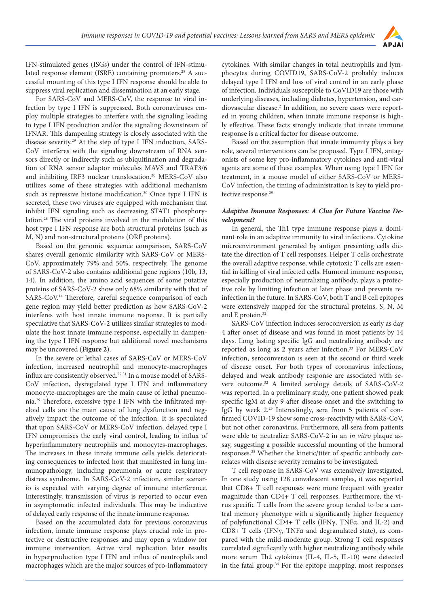

IFN-stimulated genes (ISGs) under the control of IFN-stimulated response element (ISRE) containing promoters.<sup>28</sup> A successful mounting of this type I IFN response should be able to suppress viral replication and dissemination at an early stage.

For SARS-CoV and MERS-CoV, the response to viral infection by type I IFN is suppressed. Both coronaviruses employ multiple strategies to interfere with the signaling leading to type I IFN production and/or the signaling downstream of IFNAR. This dampening strategy is closely associated with the disease severity.29 At the step of type I IFN induction, SARS-CoV interferes with the signaling downstream of RNA sensors directly or indirectly such as ubiquitination and degradation of RNA sensor adaptor molecules MAVS and TRAF3/6 and inhibiting IRF3 nuclear translocation.<sup>30</sup> MERS-CoV also utilizes some of these strategies with additional mechanism such as repressive histone modification.<sup>30</sup> Once type I IFN is secreted, these two viruses are equipped with mechanism that inhibit IFN signaling such as decreasing STAT1 phosphorylation.28 The viral proteins involved in the modulation of this host type I IFN response are both structural proteins (such as M, N) and non-structural proteins (ORF proteins).

Based on the genomic sequence comparison, SARS-CoV shares overall genomic similarity with SARS-CoV or MERS-CoV, approximately 79% and 50%, respectively. The genome of SARS-CoV-2 also contains additional gene regions (10b, 13, 14). In addition, the amino acid sequences of some putative proteins of SARS-CoV-2 show only 68% similarity with that of SARS-CoV.14 Therefore, careful sequence comparison of each gene region may yield better prediction as how SARS-CoV-2 interferes with host innate immune response. It is partially speculative that SARS-CoV-2 utilizes similar strategies to modulate the host innate immune response, especially in dampening the type I IFN response but additional novel mechanisms may be uncovered (**Figure 2**).

In the severe or lethal cases of SARS-CoV or MERS-CoV infection, increased neutrophil and monocyte-macrophages influx are consistently observed.<sup>27,31</sup> In a mouse model of SARS-CoV infection, dysregulated type I IFN and inflammatory monocyte-macrophages are the main cause of lethal pneumonia.29 Therefore, excessive type I IFN with the infiltrated myeloid cells are the main cause of lung dysfunction and negatively impact the outcome of the infection. It is speculated that upon SARS-CoV or MERS-CoV infection, delayed type I IFN compromises the early viral control, leading to influx of hyperinflammatory neutrophils and monocytes-macrophages. The increases in these innate immune cells yields deteriorating consequences to infected host that manifested in lung immunopathology, including pneumonia or acute respiratory distress syndrome. In SARS-CoV-2 infection, similar scenario is expected with varying degree of immune interference. Interestingly, transmission of virus is reported to occur even in asymptomatic infected individuals. This may be indicative of delayed early response of the innate immune response.

Based on the accumulated data for previous coronavirus infection, innate immune response plays crucial role in protective or destructive responses and may open a window for immune intervention. Active viral replication later results in hyperproduction type I IFN and influx of neutrophils and macrophages which are the major sources of pro-inflammatory

cytokines. With similar changes in total neutrophils and lymphocytes during COVID19, SARS-CoV-2 probably induces delayed type I IFN and loss of viral control in an early phase of infection. Individuals susceptible to CoVID19 are those with underlying diseases, including diabetes, hypertension, and cardiovascular disease.<sup>2</sup> In addition, no severe cases were reported in young children, when innate immune response is highly effective. These facts strongly indicate that innate immune response is a critical factor for disease outcome.

Based on the assumption that innate immunity plays a key role, several interventions can be proposed. Type I IFN, antagonists of some key pro-inflammatory cytokines and anti-viral agents are some of these examples. When using type I IFN for treatment, in a mouse model of either SARS-CoV or MERS-CoV infection, the timing of administration is key to yield protective response.<sup>29</sup>

## *Adaptive Immune Responses: A Clue for Future Vaccine Development?*

In general, the Th1 type immune response plays a dominant role in an adaptive immunity to viral infections. Cytokine microenvironment generated by antigen presenting cells dictate the direction of T cell responses. Helper T cells orchestrate the overall adaptive response, while cytotoxic T cells are essential in killing of viral infected cells. Humoral immune response, especially production of neutralizing antibody, plays a protective role by limiting infection at later phase and prevents reinfection in the future. In SARS-CoV, both T and B cell epitopes were extensively mapped for the structural proteins, S, N, M and E protein.<sup>32</sup>

SARS-CoV infection induces seroconversion as early as day 4 after onset of disease and was found in most patients by 14 days. Long lasting specific IgG and neutralizing antibody are reported as long as 2 years after infection.<sup>33</sup> For MERS-CoV infection, seroconversion is seen at the second or third week of disease onset. For both types of coronavirus infections, delayed and weak antibody response are associated with severe outcome.32 A limited serology details of SARS-CoV-2 was reported. In a preliminary study, one patient showed peak specific IgM at day 9 after disease onset and the switching to IgG by week 2.25 Interestingly, sera from 5 patients of confirmed COVID-19 show some cross-reactivity with SARS-CoV, but not other coronavirus. Furthermore, all sera from patients were able to neutralize SARS-CoV-2 in an *in vitro* plaque assay, suggesting a possible successful mounting of the humoral responses.25 Whether the kinetic/titer of specific antibody correlates with disease severity remains to be investigated.

T cell response in SARS-CoV was extensively investigated. In one study using 128 convalescent samples, it was reported that CD8+ T cell responses were more frequent with greater magnitude than CD4+ T cell responses. Furthermore, the virus specific T cells from the severe group tended to be a central memory phenotype with a significantly higher frequency of polyfunctional CD4+ T cells (IFNγ, TNFα, and IL-2) and CD8+ T cells (IFNγ, TNFα and degranulated state), as compared with the mild-moderate group. Strong T cell responses correlated significantly with higher neutralizing antibody while more serum Th2 cytokines (IL-4, IL-5, IL-10) were detected in the fatal group.34 For the epitope mapping, most responses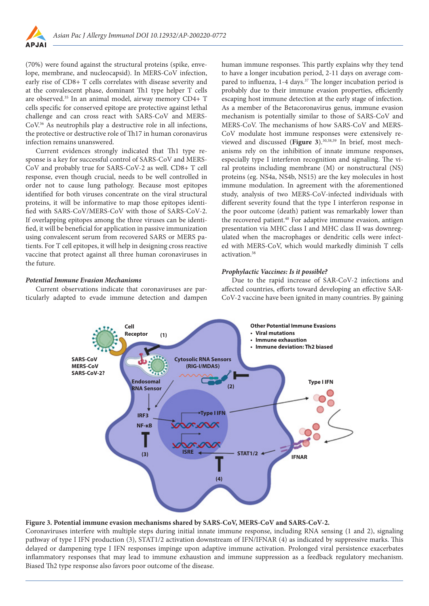

(70%) were found against the structural proteins (spike, envelope, membrane, and nucleocapsid). In MERS-CoV infection, early rise of CD8+ T cells correlates with disease severity and at the convalescent phase, dominant Th1 type helper T cells are observed.35 In an animal model, airway memory CD4+ T cells specific for conserved epitope are protective against lethal challenge and can cross react with SARS-CoV and MERS-CoV.36 As neutrophils play a destructive role in all infections, the protective or destructive role of Th17 in human coronavirus infection remains unanswered.

Current evidences strongly indicated that Th1 type response is a key for successful control of SARS-CoV and MERS-CoV and probably true for SARS-CoV-2 as well. CD8+ T cell response, even though crucial, needs to be well controlled in order not to cause lung pathology. Because most epitopes identified for both viruses concentrate on the viral structural proteins, it will be informative to map those epitopes identified with SARS-CoV/MERS-CoV with those of SARS-CoV-2. If overlapping epitopes among the three viruses can be identified, it will be beneficial for application in passive immunization using convalescent serum from recovered SARS or MERS patients. For T cell epitopes, it will help in designing cross reactive vaccine that protect against all three human coronaviruses in the future.

*Potential Immune Evasion Mechanisms*

Current observations indicate that coronaviruses are particularly adapted to evade immune detection and dampen human immune responses. This partly explains why they tend to have a longer incubation period, 2-11 days on average compared to influenza, 1-4 days.<sup>37</sup> The longer incubation period is probably due to their immune evasion properties, efficiently escaping host immune detection at the early stage of infection. As a member of the Betacoronavirus genus, immune evasion mechanism is potentially similar to those of SARS-CoV and MERS-CoV. The mechanisms of how SARS-CoV and MERS-CoV modulate host immune responses were extensively reviewed and discussed (**Figure 3**).30,38,39 In brief, most mechanisms rely on the inhibition of innate immune responses, especially type I interferon recognition and signaling. The viral proteins including membrane (M) or nonstructural (NS) proteins (eg. NS4a, NS4b, NS15) are the key molecules in host immune modulation. In agreement with the aforementioned study, analysis of two MERS-CoV-infected individuals with different severity found that the type I interferon response in the poor outcome (death) patient was remarkably lower than the recovered patient.<sup>40</sup> For adaptive immune evasion, antigen presentation via MHC class I and MHC class II was downregulated when the macrophages or dendritic cells were infected with MERS-CoV, which would markedly diminish T cells activation.38

## *Prophylactic Vaccines: Is it possible?*

Due to the rapid increase of SAR-CoV-2 infections and affected countries, efforts toward developing an effective SAR-CoV-2 vaccine have been ignited in many countries. By gaining



## **Figure 3. Potential immune evasion mechanisms shared by SARS-CoV, MERS-CoV and SARS-CoV-2.**

Coronaviruses interfere with multiple steps during initial innate immune response, including RNA sensing (1 and 2), signaling pathway of type I IFN production (3), STAT1/2 activation downstream of IFN/IFNAR (4) as indicated by suppressive marks. This delayed or dampening type I IFN responses impinge upon adaptive immune activation. Prolonged viral persistence exacerbates inflammatory responses that may lead to immune exhaustion and immune suppression as a feedback regulatory mechanism. Biased Th2 type response also favors poor outcome of the disease.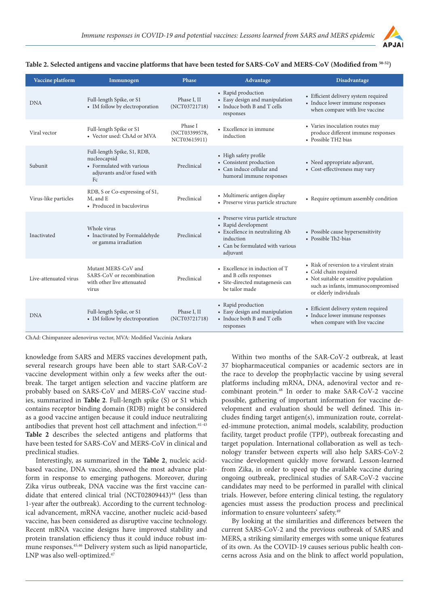

## **Table 2. Selected antigens and vaccine platforms that have been tested for SARS-CoV and MERS-CoV (Modified from 50-52)**

| Vaccine platform      | Immunogen                                                                                                                 | <b>Phase</b>                             | Advantage                                                                                                                                                  | Disadvantage                                                                                                                                                                |
|-----------------------|---------------------------------------------------------------------------------------------------------------------------|------------------------------------------|------------------------------------------------------------------------------------------------------------------------------------------------------------|-----------------------------------------------------------------------------------------------------------------------------------------------------------------------------|
| <b>DNA</b>            | Full-length Spike, or S1<br>• IM follow by electroporation                                                                | Phase I, II<br>(NCT03721718)             | • Rapid production<br>• Easy design and manipulation<br>• Induce both B and T cells<br>responses                                                           | • Efficient delivery system required<br>• Induce lower immune responses<br>when compare with live vaccine                                                                   |
| Viral vector          | Full-length Spike or S1<br>• Vector used: ChAd or MVA                                                                     | Phase I<br>(NCT03399578,<br>NCT03615911) | • Excellence in immune<br>induction                                                                                                                        | • Varies inoculation routes may<br>produce different immune responses<br>• Possible TH2 bias                                                                                |
| Subunit               | Full-length Spike, S1, RDB,<br>nucleocapsid<br>• Formulated with various<br>adjuvants and/or fused with<br>F <sub>c</sub> | Preclinical                              | • High safety profile<br>• Consistent production<br>• Can induce cellular and<br>humoral immune responses                                                  | • Need appropriate adjuvant,<br>• Cost-effectiveness may vary                                                                                                               |
| Virus-like particles  | RDB, S or Co-expressing of S1,<br>M, and E<br>• Produced in baculovirus                                                   | Preclinical                              | • Multimeric antigen display<br>• Preserve virus particle structure                                                                                        | • Require optimum assembly condition                                                                                                                                        |
| Inactivated           | Whole virus<br>• Inactivated by Formaldehyde<br>or gamma irradiation                                                      | Preclinical                              | • Preserve virus particle structure<br>• Rapid development<br>• Excellence in neutralizing Ab<br>induction<br>• Can be formulated with various<br>adjuvant | • Possible cause hypersensitivity<br>• Possible Th2-bias                                                                                                                    |
| Live-attenuated virus | Mutant MERS-CoV and<br>SARS-CoV or recombination<br>with other live attenuated<br>virus                                   | Preclinical                              | • Excellence in induction of T<br>and B cells responses<br>• Site-directed mutagenesis can<br>be tailor made                                               | • Risk of reversion to a virulent strain<br>• Cold chain required<br>• Not suitable or sensitive population<br>such as infants, immunocompromised<br>or elderly individuals |
| <b>DNA</b>            | Full-length Spike, or S1<br>• IM follow by electroporation                                                                | Phase I, II<br>(NCT03721718)             | • Rapid production<br>• Easy design and manipulation<br>• Induce both B and T cells<br>responses                                                           | • Efficient delivery system required<br>• Induce lower immune responses<br>when compare with live vaccine                                                                   |

ChAd: Chimpanzee adenovirus vector, MVA: Modified Vaccinia Ankara

knowledge from SARS and MERS vaccines development path, several research groups have been able to start SAR-CoV-2 vaccine development within only a few weeks after the outbreak. The target antigen selection and vaccine platform are probably based on SARS-CoV and MERS-CoV vaccine studies, summarized in **Table 2**. Full-length spike (S) or S1 which contains receptor binding domain (RDB) might be considered as a good vaccine antigen because it could induce neutralizing antibodies that prevent host cell attachment and infection.<sup>41-43</sup> **Table 2** describes the selected antigens and platforms that have been tested for SARS-CoV and MERS-CoV in clinical and preclinical studies.

Interestingly, as summarized in the **Table 2**, nucleic acidbased vaccine, DNA vaccine, showed the most advance platform in response to emerging pathogens. Moreover, during Zika virus outbreak, DNA vaccine was the first vaccine candidate that entered clinical trial (NCT02809443)<sup>44</sup> (less than 1-year after the outbreak). According to the current technological advancement, mRNA vaccine, another nucleic acid-based vaccine, has been considered as disruptive vaccine technology. Recent mRNA vaccine designs have improved stability and protein translation efficiency thus it could induce robust immune responses.45,46 Delivery system such as lipid nanoparticle, LNP was also well-optimized.<sup>47</sup>

Within two months of the SAR-CoV-2 outbreak, at least 37 biopharmaceutical companies or academic sectors are in the race to develop the prophylactic vaccine by using several platforms including mRNA, DNA, adenoviral vector and recombinant protein.48 In order to make SAR-CoV-2 vaccine possible, gathering of important information for vaccine development and evaluation should be well defined. This includes finding target antigen(s), immunization route, correlated-immune protection, animal models, scalability, production facility, target product profile (TPP), outbreak forecasting and target population. International collaboration as well as technology transfer between experts will also help SARS-CoV-2 vaccine development quickly move forward. Lesson-learned from Zika, in order to speed up the available vaccine during ongoing outbreak, preclinical studies of SAR-CoV-2 vaccine candidates may need to be performed in parallel with clinical trials. However, before entering clinical testing, the regulatory agencies must assess the production process and preclinical information to ensure volunteers' safety.49

By looking at the similarities and differences between the current SARS-CoV-2 and the previous outbreak of SARS and MERS, a striking similarity emerges with some unique features of its own. As the COVID-19 causes serious public health concerns across Asia and on the blink to affect world population,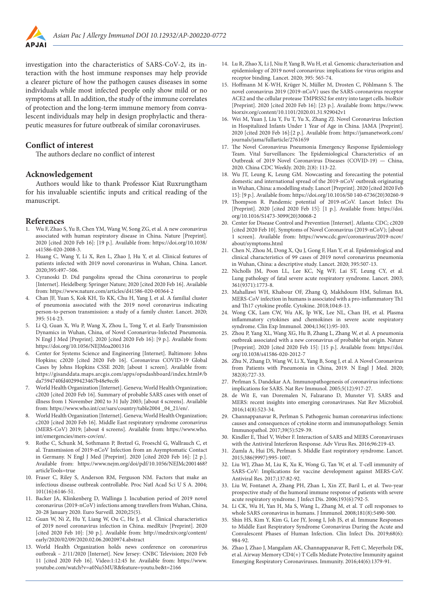

investigation into the characteristics of SARS-CoV-2, its interaction with the host immune responses may help provide a clearer picture of how the pathogen causes diseases in some individuals while most infected people only show mild or no symptoms at all. In addition, the study of the immune correlates of protection and the long-term immune memory from convalescent individuals may help in design prophylactic and therapeutic measures for future outbreak of similar coronaviruses.

# **Conflict of interest**

The authors declare no conflict of interest

#### **Acknowledgement**

Authors would like to thank Professor Kiat Ruxrungtham for his invaluable scientific inputs and critical reading of the manuscript.

#### **References**

- 1. Wu F, Zhao S, Yu B, Chen YM, Wang W, Song ZG, et al. A new coronavirus associated with human respiratory disease in China. Nature [Preprint]. 2020 [cited 2020 Feb 16]: [19 p.]. Available from: https://doi.org/10.1038/ s41586-020-2008-3.
- 2. Huang C, Wang Y, Li X, Ren L, Zhao J, Hu Y, et al. Clinical features of patients infected with 2019 novel coronavirus in Wuhan, China. Lancet. 2020;395:497–506.
- 3. Cyranoski D. Did pangolins spread the China coronavirus to people [Internet]. Heidelberg: Springer Nature; 2020 [cited 2020 Feb 16]. Available from: https://www.nature.com/articles/d41586-020-00364-2
- 4. Chan JF, Yuan S, Kok KH, To KK, Chu H, Yang J, et al. A familial cluster of pneumonia associated with the 2019 novel coronavirus indicating person-to-person transmission: a study of a family cluster. Lancet. 2020; 395: 514-23.
- 5. Li Q, Guan X, Wu P, Wang X, Zhou L, Tong Y, et al. Early Transmission Dynamics in Wuhan, China, of Novel Coronavirus-Infected Pneumonia. N Engl J Med [Preprint]. 2020 [cited 2020 Feb 16]: [9 p.]. Available from: https://doi.org/10.1056/NEJMoa2001316
- 6. Center for Systems Science and Engineering [Internet]. Baltimore: Johns Hopkins; c2020 [cited 2020 Feb 16]. Coronavirus COVID-19 Global Cases by Johns Hopkins CSSE 2020; [about 1 screen]. Available from: https://gisanddata.maps.arcgis.com/apps/opsdashboard/index.html#/b da7594740fd40299423467b48e9ecf6
- 7. World Health Organization [Internet]. Geneva; World Health Organization; c2020 [cited 2020 Feb 16]. Summary of probable SARS cases with onset of illness from 1 November 2002 to 31 July 2003; [about 4 screens]. Available from: https://www.who.int/csr/sars/country/table2004 \_04\_21/en/.
- 8. World Health Organization [Internet]. Geneva; World Health Organization; c2020 [cited 2020 Feb 16]. Middle East respiratory syndrome coronavirus (MERS-CoV) 2019; [about 4 screens]. Available from: https://www.who. int/emergencies/mers-cov/en/.
- 9. Rothe C, Schunk M, Sothmann P, Bretzel G, Froeschl G, Wallrauch C, et al. Transmission of 2019-nCoV Infection from an Asymptomatic Contact in Germany. N Engl J Med [Preprint]. 2020 [cited 2020 Feb 16]: [2 p.]. Available from: https://www.nejm.org/doi/pdf/10.1056/NEJMc2001468? articleTools=true
- 10. Fraser C, Riley S, Anderson RM, Ferguson NM. Factors that make an infectious disease outbreak controllable. Proc Natl Acad Sci U S A. 2004; 101(16):6146-51.
- 11. Backer JA, Klinkenberg D, Wallinga J. Incubation period of 2019 novel coronavirus (2019-nCoV) infections among travellers from Wuhan, China, 20-28 January 2020. Euro Surveill. 2020;25(5).
- 12. Guan W, Ni Z, Hu Y, Liang W, Ou C, He J, et al. Clinical characteristics of 2019 novel coronavirus infection in China. medRxiv [Preprint]. 2020 [cited 2020 Feb 10]: [30 p.]. Available from: http://medrxiv.org/content/ early/2020/02/09/2020.02.06.20020974.abstract
- 13. World Health Organization holds news conference on coronavirus outbreak – 2/11/2020 [Internet]. New Jersey: CNBC Television; 2020 Feb 11 [cited 2020 Feb 16]. Video:1:12:45 hr. Available from: https://www. youtube.com/watch?v=a0Nu5MUR&feature=youtu.be&t=2166
- 14. Lu R, Zhao X, Li J, Niu P, Yang B, Wu H, et al. Genomic characterisation and epidemiology of 2019 novel coronavirus: implications for virus origins and receptor binding. Lancet. 2020; 395: 565-74.
- 15. Hoffmann M K-WH, Krüger N, Müller M, Drosten C, Pöhlmann S. The novel coronavirus 2019 (2019-nCoV) uses the SARS-coronavirus receptor ACE2 and the cellular protease TMPRSS2 for entry into target cells. bioRxiv [Preprint]. 2020 [cited 2020 Feb 16]: [23 p.]. Available from: https://www. biorxiv.org/content/10.1101/2020.01.31.929042v1
- 16. Wei M, Yuan J, Liu Y, Fu T, Yu X, Zhang ZJ. Novel Coronavirus Infection in Hospitalized Infants Under 1 Year of Age in China. JAMA [Preprint]. 2020 [cited 2020 Feb 16]:[2 p.]. Available from: https://jamanetwork.com/ journals/jama/fullarticle/2761659
- 17. The Novel Coronavirus Pneumonia Emergency Response Epidemiology Team. Vital Surveillances: The Epidemiological Characteristics of an Outbreak of 2019 Novel Coronavirus Diseases (COVID-19) — China, 2020. China CDC Weekly. 2020; 2(8): 113-22.
- 18. Wu JT, Leung K, Leung GM. Nowcasting and forecasting the potential domestic and international spread of the 2019-nCoV outbreak originating in Wuhan, China: a modelling study. Lancet [Preprint]. 2020 [cited 2020 Feb 15]: [9 p.]. Available from: https://doi.org/10.1016/S0 140-6736(20)30260-9
- 19. Thompson R. Pandemic potential of 2019-nCoV. Lancet Infect Dis [Preprint]. 2020 [cited 2020 Feb 15]: [1 p.]. Available from: https://doi. org/10.1016/S1473-3099(20)30068-2
- 20. Center for Disease Control and Prevention [Internet]. Atlanta: CDC; c2020 [cited 2020 Feb 10]. Symptoms of Novel Coronavirus (2019-nCoV); [about 1 screen]. Available from: https://www.cdc.gov/coronavirus/2019-ncov/ about/symptoms.html
- 21. Chen N, Zhou M, Dong X, Qu J, Gong F, Han Y, et al. Epidemiological and clinical characteristics of 99 cases of 2019 novel coronavirus pneumonia in Wuhan, China: a descriptive study. Lancet. 2020; 395:507-13.
- 22. Nicholls JM, Poon LL, Lee KC, Ng WF, Lai ST, Leung CY, et al. Lung pathology of fatal severe acute respiratory syndrome. Lancet. 2003; 361(9371):1773-8.
- 23. Mahallawi WH, Khabour OF, Zhang Q, Makhdoum HM, Suliman BA. MERS-CoV infection in humans is associated with a pro-inflammatory Th1 and Th17 cytokine profile. Cytokine. 2018;104:8-13.
- 24. Wong CK, Lam CW, Wu AK, Ip WK, Lee NL, Chan IH, et al. Plasma inflammatory cytokines and chemokines in severe acute respiratory syndrome. Clin Exp Immunol. 2004;136(1):95-103.
- 25. Zhou P, Yang XL, Wang XG, Hu B, Zhang L, Zhang W, et al. A pneumonia outbreak associated with a new coronavirus of probable bat origin. Nature [Preprint]. 2020 [cited 2020 Feb 15]: [15 p.]. Available from: https://doi. org/10.1038/s41586-020-2012-7
- 26. Zhu N, Zhang D, Wang W, Li X, Yang B, Song J, et al. A Novel Coronavirus from Patients with Pneumonia in China, 2019. N Engl J Med. 2020; 382(8):727-33.
- 27. Perlman S, Dandekar AA. Immunopathogenesis of coronavirus infections: implications for SARS. Nat Rev Immunol. 2005;5(12):917-27.
- 28. de Wit E, van Doremalen N, Falzarano D, Munster VJ. SARS and MERS: recent insights into emerging coronaviruses. Nat Rev Microbiol. 2016;14(8):523-34.
- 29. Channappanavar R, Perlman S. Pathogenic human coronavirus infections: causes and consequences of cytokine storm and immunopathology. Semin Immunopathol. 2017;39(5):529-39.
- 30. Kindler E, Thiel V, Weber F. Interaction of SARS and MERS Coronaviruses with the Antiviral Interferon Response. Adv Virus Res. 2016;96:219-43.
- 31. Zumla A, Hui DS, Perlman S. Middle East respiratory syndrome. Lancet. 2015;386(9997):995-1007.
- 32. Liu WJ, Zhao M, Liu K, Xu K, Wong G, Tan W, et al. T-cell immunity of SARS-CoV: Implications for vaccine development against MERS-CoV. Antiviral Res. 2017;137:82-92.
- 33. Liu W, Fontanet A, Zhang PH, Zhan L, Xin ZT, Baril L, et al. Two-year prospective study of the humoral immune response of patients with severe acute respiratory syndrome. J Infect Dis. 2006;193(6):792-5.
- 34. Li CK, Wu H, Yan H, Ma S, Wang L, Zhang M, et al. T cell responses to whole SARS coronavirus in humans. J Immunol. 2008;181(8):5490-500.
- 35. Shin HS, Kim Y, Kim G, Lee JY, Jeong I, Joh JS, et al. Immune Responses to Middle East Respiratory Syndrome Coronavirus During the Acute and Convalescent Phases of Human Infection. Clin Infect Dis. 2019;68(6): 984-92.
- 36. Zhao J, Zhao J, Mangalam AK, Channappanavar R, Fett C, Meyerholz DK, et al. Airway Memory CD4(+) T Cells Mediate Protective Immunity against Emerging Respiratory Coronaviruses. Immunity. 2016;44(6):1379-91.